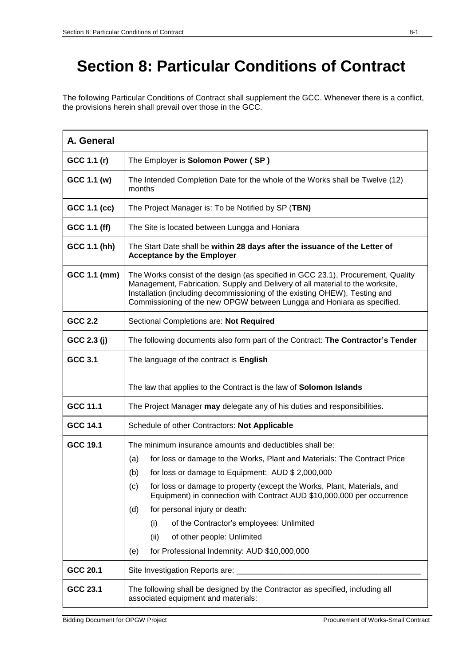## **Section 8: Particular Conditions of Contract**

The following Particular Conditions of Contract shall supplement the GCC. Whenever there is a conflict, the provisions herein shall prevail over those in the GCC.

| A. General      |                                                                                                                                                                                                                                                                                                                           |
|-----------------|---------------------------------------------------------------------------------------------------------------------------------------------------------------------------------------------------------------------------------------------------------------------------------------------------------------------------|
| GCC 1.1 (r)     | The Employer is Solomon Power (SP)                                                                                                                                                                                                                                                                                        |
| GCC 1.1 (w)     | The Intended Completion Date for the whole of the Works shall be Twelve (12)<br>months                                                                                                                                                                                                                                    |
| GCC 1.1 (cc)    | The Project Manager is: To be Notified by SP (TBN)                                                                                                                                                                                                                                                                        |
| GCC 1.1 (ff)    | The Site is located between Lungga and Honiara                                                                                                                                                                                                                                                                            |
| GCC 1.1 (hh)    | The Start Date shall be within 28 days after the issuance of the Letter of<br><b>Acceptance by the Employer</b>                                                                                                                                                                                                           |
| GCC 1.1 (mm)    | The Works consist of the design (as specified in GCC 23.1), Procurement, Quality<br>Management, Fabrication, Supply and Delivery of all material to the worksite,<br>Installation (including decommissioning of the existing OHEW), Testing and<br>Commissioning of the new OPGW between Lungga and Honiara as specified. |
| GCC 2.2         | Sectional Completions are: Not Required                                                                                                                                                                                                                                                                                   |
| GCC 2.3 (j)     | The following documents also form part of the Contract: The Contractor's Tender                                                                                                                                                                                                                                           |
| GCC 3.1         | The language of the contract is English                                                                                                                                                                                                                                                                                   |
|                 | The law that applies to the Contract is the law of Solomon Islands                                                                                                                                                                                                                                                        |
| GCC 11.1        | The Project Manager may delegate any of his duties and responsibilities.                                                                                                                                                                                                                                                  |
| <b>GCC 14.1</b> | Schedule of other Contractors: Not Applicable                                                                                                                                                                                                                                                                             |
| GCC 19.1        | The minimum insurance amounts and deductibles shall be:                                                                                                                                                                                                                                                                   |
|                 | for loss or damage to the Works, Plant and Materials: The Contract Price<br>(a)                                                                                                                                                                                                                                           |
|                 | for loss or damage to Equipment: AUD \$ 2,000,000<br>(b)                                                                                                                                                                                                                                                                  |
|                 | for loss or damage to property (except the Works, Plant, Materials, and<br>(c)<br>Equipment) in connection with Contract AUD \$10,000,000 per occurrence                                                                                                                                                                  |
|                 | for personal injury or death:<br>(d)                                                                                                                                                                                                                                                                                      |
|                 | of the Contractor's employees: Unlimited<br>(i)                                                                                                                                                                                                                                                                           |
|                 | of other people: Unlimited<br>(ii)                                                                                                                                                                                                                                                                                        |
|                 | for Professional Indemnity: AUD \$10,000,000<br>(e)                                                                                                                                                                                                                                                                       |
| GCC 20.1        | Site Investigation Reports are: ___                                                                                                                                                                                                                                                                                       |
| GCC 23.1        | The following shall be designed by the Contractor as specified, including all<br>associated equipment and materials:                                                                                                                                                                                                      |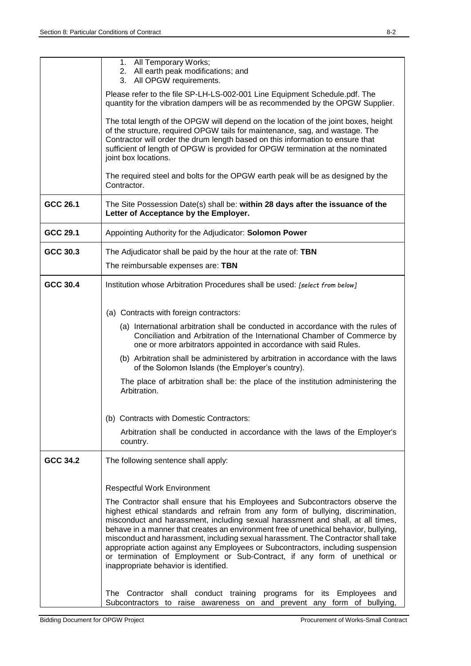|          | 1. All Temporary Works;<br>2. All earth peak modifications; and                                                                                                                                                                                                                                                                                                                                                                                                                                                                                            |
|----------|------------------------------------------------------------------------------------------------------------------------------------------------------------------------------------------------------------------------------------------------------------------------------------------------------------------------------------------------------------------------------------------------------------------------------------------------------------------------------------------------------------------------------------------------------------|
|          | 3. All OPGW requirements.<br>Please refer to the file SP-LH-LS-002-001 Line Equipment Schedule.pdf. The                                                                                                                                                                                                                                                                                                                                                                                                                                                    |
|          | quantity for the vibration dampers will be as recommended by the OPGW Supplier.                                                                                                                                                                                                                                                                                                                                                                                                                                                                            |
|          | The total length of the OPGW will depend on the location of the joint boxes, height<br>of the structure, required OPGW tails for maintenance, sag, and wastage. The<br>Contractor will order the drum length based on this information to ensure that<br>sufficient of length of OPGW is provided for OPGW termination at the nominated<br>joint box locations.                                                                                                                                                                                            |
|          | The required steel and bolts for the OPGW earth peak will be as designed by the<br>Contractor.                                                                                                                                                                                                                                                                                                                                                                                                                                                             |
| GCC 26.1 | The Site Possession Date(s) shall be: within 28 days after the issuance of the<br>Letter of Acceptance by the Employer.                                                                                                                                                                                                                                                                                                                                                                                                                                    |
| GCC 29.1 | Appointing Authority for the Adjudicator: Solomon Power                                                                                                                                                                                                                                                                                                                                                                                                                                                                                                    |
| GCC 30.3 | The Adjudicator shall be paid by the hour at the rate of: TBN                                                                                                                                                                                                                                                                                                                                                                                                                                                                                              |
|          | The reimbursable expenses are: TBN                                                                                                                                                                                                                                                                                                                                                                                                                                                                                                                         |
| GCC 30.4 | Institution whose Arbitration Procedures shall be used: [select from below]                                                                                                                                                                                                                                                                                                                                                                                                                                                                                |
|          |                                                                                                                                                                                                                                                                                                                                                                                                                                                                                                                                                            |
|          | (a) Contracts with foreign contractors:<br>(a) International arbitration shall be conducted in accordance with the rules of                                                                                                                                                                                                                                                                                                                                                                                                                                |
|          | Conciliation and Arbitration of the International Chamber of Commerce by<br>one or more arbitrators appointed in accordance with said Rules.                                                                                                                                                                                                                                                                                                                                                                                                               |
|          | (b) Arbitration shall be administered by arbitration in accordance with the laws<br>of the Solomon Islands (the Employer's country).                                                                                                                                                                                                                                                                                                                                                                                                                       |
|          | The place of arbitration shall be: the place of the institution administering the<br>Arbitration.                                                                                                                                                                                                                                                                                                                                                                                                                                                          |
|          | (b) Contracts with Domestic Contractors:                                                                                                                                                                                                                                                                                                                                                                                                                                                                                                                   |
|          | Arbitration shall be conducted in accordance with the laws of the Employer's<br>country.                                                                                                                                                                                                                                                                                                                                                                                                                                                                   |
| GCC 34.2 | The following sentence shall apply:                                                                                                                                                                                                                                                                                                                                                                                                                                                                                                                        |
|          | <b>Respectful Work Environment</b>                                                                                                                                                                                                                                                                                                                                                                                                                                                                                                                         |
|          | The Contractor shall ensure that his Employees and Subcontractors observe the                                                                                                                                                                                                                                                                                                                                                                                                                                                                              |
|          | highest ethical standards and refrain from any form of bullying, discrimination,<br>misconduct and harassment, including sexual harassment and shall, at all times,<br>behave in a manner that creates an environment free of unethical behavior, bullying,<br>misconduct and harassment, including sexual harassment. The Contractor shall take<br>appropriate action against any Employees or Subcontractors, including suspension<br>or termination of Employment or Sub-Contract, if any form of unethical or<br>inappropriate behavior is identified. |
|          | The Contractor shall conduct training programs for its Employees and<br>Subcontractors to raise awareness on and prevent any form of bullying,                                                                                                                                                                                                                                                                                                                                                                                                             |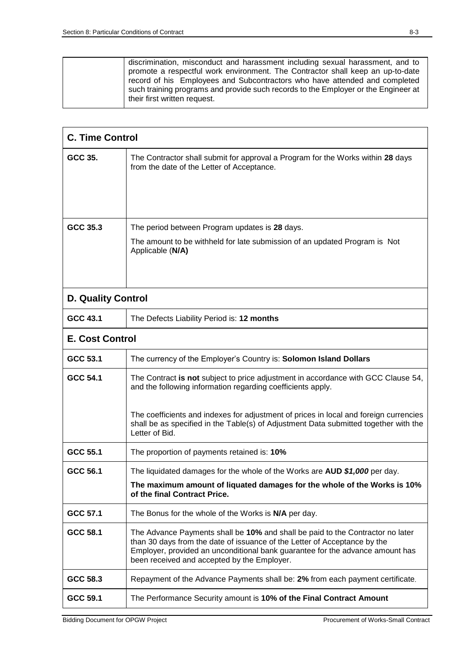|  | discrimination, misconduct and harassment including sexual harassment, and to<br>promote a respectful work environment. The Contractor shall keep an up-to-date<br>record of his Employees and Subcontractors who have attended and completed<br>such training programs and provide such records to the Employer or the Engineer at |
|--|-------------------------------------------------------------------------------------------------------------------------------------------------------------------------------------------------------------------------------------------------------------------------------------------------------------------------------------|
|  | their first written request.                                                                                                                                                                                                                                                                                                        |

|                           | <b>C. Time Control</b>                                                                                                                                                                                                                                                                      |  |  |
|---------------------------|---------------------------------------------------------------------------------------------------------------------------------------------------------------------------------------------------------------------------------------------------------------------------------------------|--|--|
| GCC 35.                   | The Contractor shall submit for approval a Program for the Works within 28 days<br>from the date of the Letter of Acceptance.                                                                                                                                                               |  |  |
| GCC 35.3                  | The period between Program updates is 28 days.                                                                                                                                                                                                                                              |  |  |
|                           | The amount to be withheld for late submission of an updated Program is Not<br>Applicable (N/A)                                                                                                                                                                                              |  |  |
| <b>D. Quality Control</b> |                                                                                                                                                                                                                                                                                             |  |  |
| GCC 43.1                  | The Defects Liability Period is: 12 months                                                                                                                                                                                                                                                  |  |  |
|                           | <b>E. Cost Control</b>                                                                                                                                                                                                                                                                      |  |  |
| GCC 53.1                  | The currency of the Employer's Country is: Solomon Island Dollars                                                                                                                                                                                                                           |  |  |
| GCC 54.1                  | The Contract is not subject to price adjustment in accordance with GCC Clause 54,<br>and the following information regarding coefficients apply.                                                                                                                                            |  |  |
|                           | The coefficients and indexes for adjustment of prices in local and foreign currencies<br>shall be as specified in the Table(s) of Adjustment Data submitted together with the<br>Letter of Bid.                                                                                             |  |  |
| GCC 55.1                  | The proportion of payments retained is: 10%                                                                                                                                                                                                                                                 |  |  |
| GCC 56.1                  | The liquidated damages for the whole of the Works are AUD \$1,000 per day.                                                                                                                                                                                                                  |  |  |
|                           | The maximum amount of liquated damages for the whole of the Works is 10%<br>of the final Contract Price.                                                                                                                                                                                    |  |  |
| GCC 57.1                  | The Bonus for the whole of the Works is N/A per day.                                                                                                                                                                                                                                        |  |  |
| GCC 58.1                  | The Advance Payments shall be 10% and shall be paid to the Contractor no later<br>than 30 days from the date of issuance of the Letter of Acceptance by the<br>Employer, provided an unconditional bank guarantee for the advance amount has<br>been received and accepted by the Employer. |  |  |
| GCC 58.3                  | Repayment of the Advance Payments shall be: 2% from each payment certificate.                                                                                                                                                                                                               |  |  |
| GCC 59.1                  | The Performance Security amount is 10% of the Final Contract Amount                                                                                                                                                                                                                         |  |  |